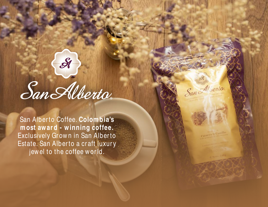

San Alber to Coffee. **Colom bia's m ost awar d - w inning coffee.** Exclusively Grown in San Alberto Estate. San Alberto a craft luxury jew el to the coffee world.

Caturra & Castillo

San Alverto.